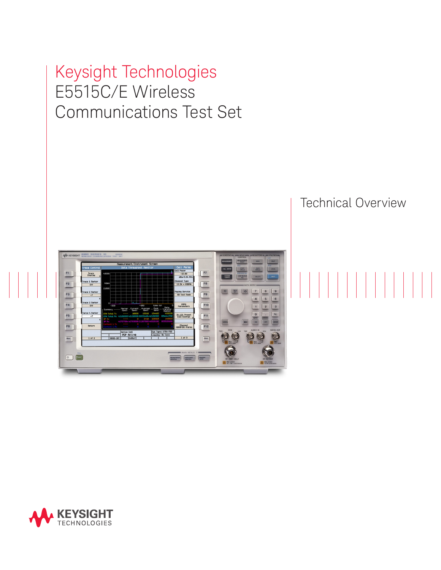# Keysight Technologies E5515C/E Wireless Communications Test Set



## Technical Overview

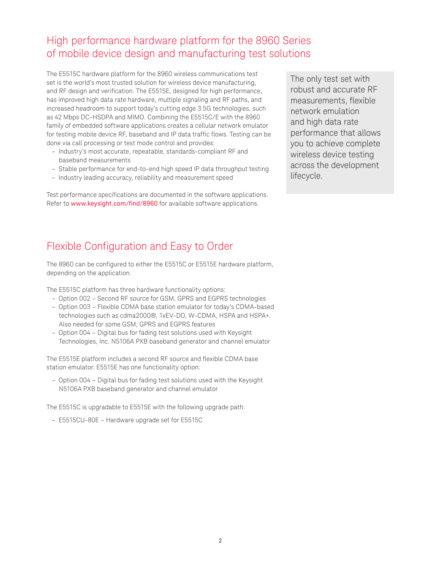### High performance hardware platform for the 8960 Series of mobile device design and manufacturing test solutions

The E5515C hardware platform for the 8960 wireless communications test set is the world's most trusted solution for wireless device manufacturing, and RF design and verification. The E5515E, designed for high performance, has improved high data rate hardware, multiple signaling and RF paths, and increased headroom to support today's cutting edge 3.5G technologies, such as 42 Mbps DC-HSDPA and MIMO. Combining the E5515C/E with the 8960 family of embedded software applications creates a cellular network emulator for testing mobile device RF, baseband and IP data traffic flows. Testing can be done via call processing or test mode control and provides:

- Industry's most accurate, repeatable, standards-compliant RF and baseband measurements
- Stable performance for end-to-end high speed IP data throughput testing
- Industry leading accuracy, reliability and measurement speed

Test performance specifications are documented in the software applications. Refer to [www.keysight.com/find/8960](http://www.keysight.com/find/8960) for available software applications.

The only test set with robust and accurate RF measurements, flexible network emulation and high data rate performance that allows you to achieve complete wireless device testing across the development lifecycle.

## Flexible Configuration and Easy to Order

The 8960 can be configured to either the E5515C or E5515E hardware platform, depending on the application.

The E5515C platform has three hardware functionality options:

- Option 002 Second RF source for GSM, GPRS and EGPRS technologies
- Option 003 Flexible CDMA base station emulator for today's CDMA-based technologies such as cdma2000®, 1xEV-DO, W-CDMA, HSPA and HSPA+. Also needed for some GSM, GPRS and EGPRS features
- Option 004 Digital bus for fading test solutions used with Keysight Technologies, Inc. N5106A PXB baseband generator and channel emulator

The E5515E platform includes a second RF source and flexible CDMA base station emulator. E5515E has one functionality option:

– Option 004 – Digital bus for fading test solutions used with the Keysight N5106A PXB baseband generator and channel emulator

The E5515C is upgradable to E5515E with the following upgrade path:

– E5515CU-80E – Hardware upgrade set for E5515C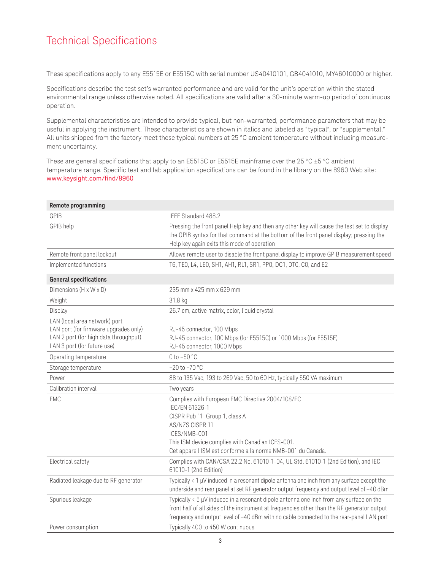## Technical Specifications

These specifications apply to any E5515E or E5515C with serial number US40410101, GB4041010, MY46010000 or higher.

Specifications describe the test set's warranted performance and are valid for the unit's operation within the stated environmental range unless otherwise noted. All specifications are valid after a 30-minute warm-up period of continuous operation.

Supplemental characteristics are intended to provide typical, but non-warranted, performance parameters that may be useful in applying the instrument. These characteristics are shown in italics and labeled as "typical", or "supplemental." All units shipped from the factory meet these typical numbers at 25 °C ambient temperature without including measurement uncertainty.

These are general specifications that apply to an E5515C or E5515E mainframe over the 25 °C ±5 °C ambient temperature range. Specific test and lab application specifications can be found in the library on the 8960 Web site: [www.keysight.com/find/8960](http://www.keysight.com/find/8960)

| Remote programming                                                                                                                             |                                                                                                                                                                                                                                                                                                      |
|------------------------------------------------------------------------------------------------------------------------------------------------|------------------------------------------------------------------------------------------------------------------------------------------------------------------------------------------------------------------------------------------------------------------------------------------------------|
| <b>GPIB</b>                                                                                                                                    | IEEE Standard 488.2                                                                                                                                                                                                                                                                                  |
| GPIB help                                                                                                                                      | Pressing the front panel Help key and then any other key will cause the test set to display<br>the GPIB syntax for that command at the bottom of the front panel display; pressing the<br>Help key again exits this mode of operation                                                                |
| Remote front panel lockout                                                                                                                     | Allows remote user to disable the front panel display to improve GPIB measurement speed                                                                                                                                                                                                              |
| Implemented functions                                                                                                                          | T6, TEO, L4, LEO, SH1, AH1, RL1, SR1, PPO, DC1, DT0, CO, and E2                                                                                                                                                                                                                                      |
| <b>General specifications</b>                                                                                                                  |                                                                                                                                                                                                                                                                                                      |
| Dimensions (H x W x D)                                                                                                                         | 235 mm x 425 mm x 629 mm                                                                                                                                                                                                                                                                             |
| Weight                                                                                                                                         | 31.8 kg                                                                                                                                                                                                                                                                                              |
| Display                                                                                                                                        | 26.7 cm, active matrix, color, liquid crystal                                                                                                                                                                                                                                                        |
| LAN (local area network) port<br>LAN port (for firmware upgrades only)<br>LAN 2 port (for high data throughput)<br>LAN 3 port (for future use) | RJ-45 connector, 100 Mbps<br>RJ-45 connector, 100 Mbps (for E5515C) or 1000 Mbps (for E5515E)<br>RJ-45 connector, 1000 Mbps                                                                                                                                                                          |
| Operating temperature                                                                                                                          | 0 to $+50 °C$                                                                                                                                                                                                                                                                                        |
| Storage temperature                                                                                                                            | $-20$ to $+70$ °C                                                                                                                                                                                                                                                                                    |
| Power                                                                                                                                          | 88 to 135 Vac, 193 to 269 Vac, 50 to 60 Hz, typically 550 VA maximum                                                                                                                                                                                                                                 |
| Calibration interval                                                                                                                           | Two years                                                                                                                                                                                                                                                                                            |
| <b>EMC</b>                                                                                                                                     | Complies with European EMC Directive 2004/108/EC<br>IEC/EN 61326-1<br>CISPR Pub 11 Group 1, class A<br>AS/NZS CISPR 11<br>ICES/NMB-001<br>This ISM device complies with Canadian ICES-001.<br>Cet appareil ISM est conforme a la norme NMB-001 du Canada.                                            |
| Electrical safety                                                                                                                              | Complies with CAN/CSA 22.2 No. 61010-1-04, UL Std. 61010-1 (2nd Edition), and IEC<br>61010-1 (2nd Edition)                                                                                                                                                                                           |
| Radiated leakage due to RF generator                                                                                                           | Typically $\langle 1 \mu V \rangle$ induced in a resonant dipole antenna one inch from any surface except the<br>underside and rear panel at set RF generator output frequency and output level of -40 dBm                                                                                           |
| Spurious leakage                                                                                                                               | Typically $\langle 5 \mu V \rangle$ induced in a resonant dipole antenna one inch from any surface on the<br>front half of all sides of the instrument at frequencies other than the RF generator output<br>frequency and output level of -40 dBm with no cable connected to the rear-panel LAN port |
| Power consumption                                                                                                                              | Typically 400 to 450 W continuous                                                                                                                                                                                                                                                                    |